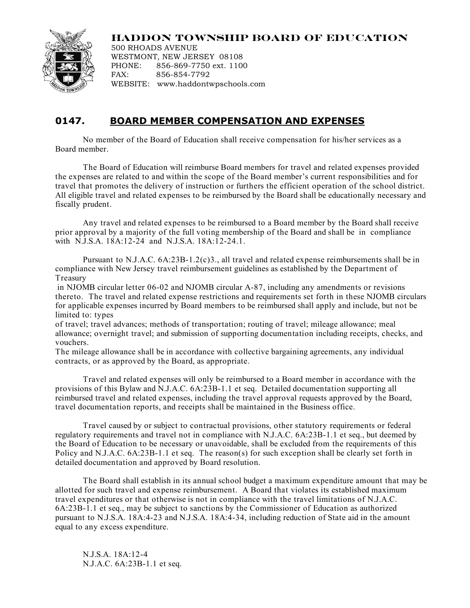## **HADDON TOWNSHIP BOARD OF EDUCATION**



500 RHOADS AVENUE WESTMONT, NEW JERSEY 08108 PHONE: 856-869-7750 ext. 1100 FAX: 856-854-7792 WEBSITE: www.haddontwpschools.com

## **0147. BOARD MEMBER COMPENSATION AND EXPENSES**

No member of the Board of Education shall receive compensation for his/her services as a Board member.

The Board of Education will reimburse Board members for travel and related expenses provided the expenses are related to and within the scope of the Board member's current responsibilities and for travel that promotes the delivery of instruction or furthers the efficient operation of the school district. All eligible travel and related expenses to be reimbursed by the Board shall be educationally necessary and fiscally prudent.

Any travel and related expenses to be reimbursed to a Board member by the Board shall receive prior approval by a majority of the full voting membership of the Board and shall be in compliance with N.J.S.A. 18A:12-24 and N.J.S.A. 18A:12-24.1.

Pursuant to N.J.A.C. 6A:23B-1.2(c)3., all travel and related expense reimbursements shall be in compliance with New Jersey travel reimbursement guidelines as established by the Department of Treasury

 in NJOMB circular letter 06-02 and NJOMB circular A-87, including any amendments or revisions thereto. The travel and related expense restrictions and requirements set forth in these NJOMB circulars for applicable expenses incurred by Board members to be reimbursed shall apply and include, but not be limited to: types

of travel; travel advances; methods of transportation; routing of travel; mileage allowance; meal allowance; overnight travel; and submission of supporting documentation including receipts, checks, and vouchers.

The mileage allowance shall be in accordance with collective bargaining agreements, any individual contracts, or as approved by the Board, as appropriate.

Travel and related expenses will only be reimbursed to a Board member in accordance with the provisions of this Bylaw and N.J.A.C. 6A:23B-1.1 et seq. Detailed documentation supporting all reimbursed travel and related expenses, including the travel approval requests approved by the Board, travel documentation reports, and receipts shall be maintained in the Business office.

Travel caused by or subject to contractual provisions, other statutory requirements or federal regulatory requirements and travel not in compliance with N.J.A.C. 6A:23B-1.1 et seq., but deemed by the Board of Education to be necessary or unavoidable, shall be excluded from the requirements of this Policy and N.J.A.C. 6A:23B-1.1 et seq. The reason(s) for such exception shall be clearly set forth in detailed documentation and approved by Board resolution.

The Board shall establish in its annual school budget a maximum expenditure amount that may be allotted for such travel and expense reimbursement. A Board that violates its established maximum travel expenditures or that otherwise is not in compliance with the travel limitations of N.J.A.C. 6A:23B-1.1 et seq., may be subject to sanctions by the Commissioner of Education as authorized pursuant to N.J.S.A. 18A:4-23 and N.J.S.A. 18A:4-34, including reduction of State aid in the amount equal to any excess expenditure.

N.J.S.A. 18A:12-4 N.J.A.C. 6A:23B-1.1 et seq.